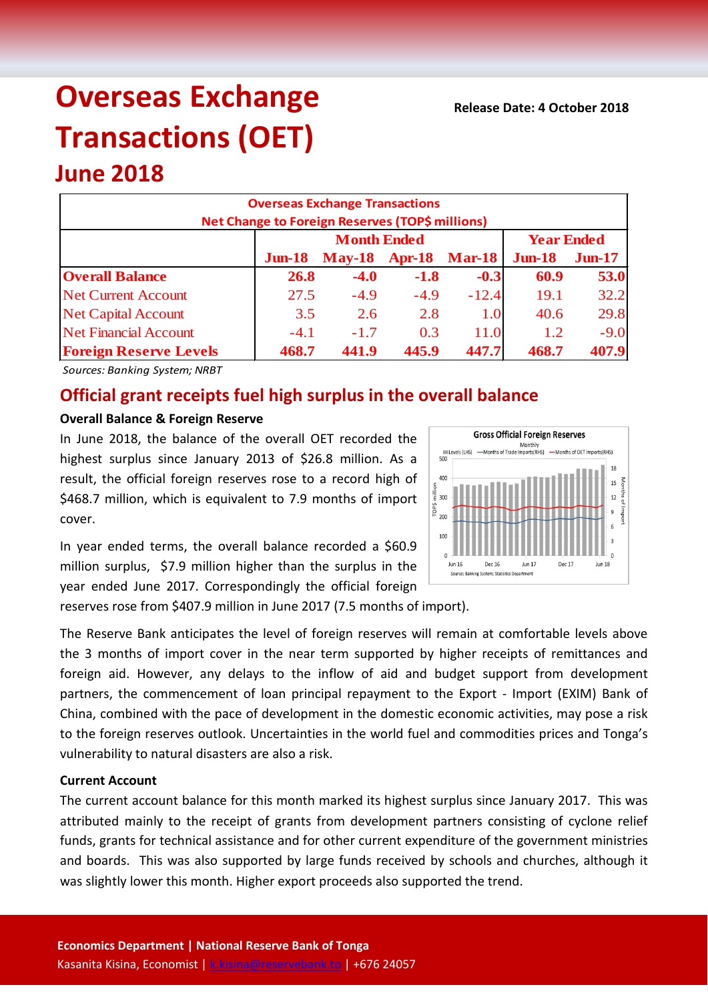# **Overseas Exchange Transactions (OET)**

## **June 2018**

|                               | <b>Overseas Exchange Transactions</b><br>Net Change to Foreign Reserves (TOP\$ millions) |                             |        |         |                   |           |
|-------------------------------|------------------------------------------------------------------------------------------|-----------------------------|--------|---------|-------------------|-----------|
|                               | <b>Month Ended</b>                                                                       |                             |        |         | <b>Year Ended</b> |           |
|                               | $J$ un-18                                                                                | <b>May-18 Apr-18 Mar-18</b> |        |         | $J$ un-18         | $J$ un-17 |
| <b>Overall Balance</b>        | <b>26.8</b>                                                                              | $-4.0$                      | $-1.8$ | $-0.3$  | 60.9              | 53.0      |
| <b>Net Current Account</b>    | 27.5                                                                                     | $-4.9$                      | $-4.9$ | $-12.4$ | 19.1              | 32.2      |
| <b>Net Capital Account</b>    | 3.5                                                                                      | 2.6                         | 2.8    | 1.0     | 40.6              | 29.8      |
| <b>Net Financial Account</b>  | $-4.1$                                                                                   | $-1.7$                      | 0.3    | 11.0    | 1.2               | $-9.0$    |
| <b>Foreign Reserve Levels</b> | 468.7                                                                                    | 441.9                       | 445.9  | 447.7   | 468.7             | 407.9     |

*Sources: Banking System; NRBT*

### **Official grant receipts fuel high surplus in the overall balance**

#### **Overall Balance & Foreign Reserve**

In June 2018, the balance of the overall OET recorded the highest surplus since January 2013 of \$26.8 million. As a result, the official foreign reserves rose to a record high of \$468.7 million, which is equivalent to 7.9 months of import cover.



In year ended terms, the overall balance recorded a \$60.9 million surplus, \$7.9 million higher than the surplus in the year ended June 2017. Correspondingly the official foreign

reserves rose from \$407.9 million in June 2017 (7.5 months of import).

The Reserve Bank anticipates the level of foreign reserves will remain at comfortable levels above the 3 months of import cover in the near term supported by higher receipts of remittances and foreign aid. However, any delays to the inflow of aid and budget support from development partners, the commencement of loan principal repayment to the Export - Import (EXIM) Bank of China, combined with the pace of development in the domestic economic activities, may pose a risk to the foreign reserves outlook. Uncertainties in the world fuel and commodities prices and Tonga's vulnerability to natural disasters are also a risk.

#### **Current Account**

The current account balance for this month marked its highest surplus since January 2017. This was attributed mainly to the receipt of grants from development partners consisting of cyclone relief funds, grants for technical assistance and for other current expenditure of the government ministries and boards. This was also supported by large funds received by schools and churches, although it was slightly lower this month. Higher export proceeds also supported the trend.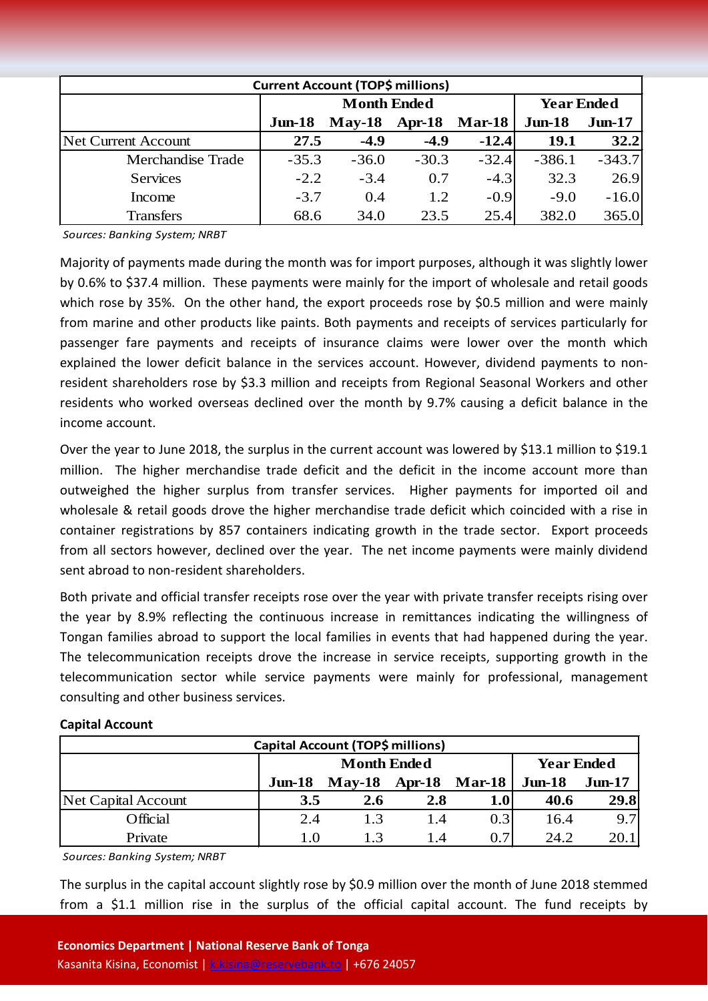| <b>Current Account (TOP\$ millions)</b> |                    |                 |         |               |                   |           |  |  |
|-----------------------------------------|--------------------|-----------------|---------|---------------|-------------------|-----------|--|--|
|                                         | <b>Month Ended</b> |                 |         |               | <b>Year Ended</b> |           |  |  |
|                                         | $J$ un-18          | $May-18$ Apr-18 |         | <b>Mar-18</b> | $Jun-18$          | $J$ un-17 |  |  |
| Net Current Account                     | 27.5               | $-4.9$          | $-4.9$  | $-12.4$       | 19.1              | 32.2      |  |  |
| Merchandise Trade                       | $-35.3$            | $-36.0$         | $-30.3$ | $-32.4$       | $-386.1$          | $-343.7$  |  |  |
| <b>Services</b>                         | $-2.2$             | $-3.4$          | 0.7     | $-4.3$        | 32.3              | 26.9      |  |  |
| Income                                  | $-3.7$             | 0.4             | 1.2     | $-0.9$        | $-9.0$            | $-16.0$   |  |  |
| <b>Transfers</b>                        | 68.6               | 34.0            | 23.5    | 25.4          | 382.0             | 365.0     |  |  |

*Sources: Banking System; NRBT*

Majority of payments made during the month was for import purposes, although it was slightly lower by 0.6% to \$37.4 million. These payments were mainly for the import of wholesale and retail goods which rose by 35%. On the other hand, the export proceeds rose by \$0.5 million and were mainly from marine and other products like paints. Both payments and receipts of services particularly for passenger fare payments and receipts of insurance claims were lower over the month which explained the lower deficit balance in the services account. However, dividend payments to nonresident shareholders rose by \$3.3 million and receipts from Regional Seasonal Workers and other residents who worked overseas declined over the month by 9.7% causing a deficit balance in the income account.

Over the year to June 2018, the surplus in the current account was lowered by \$13.1 million to \$19.1 million. The higher merchandise trade deficit and the deficit in the income account more than outweighed the higher surplus from transfer services. Higher payments for imported oil and wholesale & retail goods drove the higher merchandise trade deficit which coincided with a rise in container registrations by 857 containers indicating growth in the trade sector. Export proceeds from all sectors however, declined over the year. The net income payments were mainly dividend sent abroad to non-resident shareholders.

Both private and official transfer receipts rose over the year with private transfer receipts rising over the year by 8.9% reflecting the continuous increase in remittances indicating the willingness of Tongan families abroad to support the local families in events that had happened during the year. The telecommunication receipts drove the increase in service receipts, supporting growth in the telecommunication sector while service payments were mainly for professional, management consulting and other business services.

#### **Capital Account**

| Capital Account (TOP\$ millions) |                    |          |        |               |                   |          |  |
|----------------------------------|--------------------|----------|--------|---------------|-------------------|----------|--|
|                                  | <b>Month Ended</b> |          |        |               | <b>Year Ended</b> |          |  |
|                                  | $J$ un-18          | $Mav-18$ | Apr-18 | <b>Mar-18</b> | $Jun-18$          | $Jun-17$ |  |
| Net Capital Account              | 3.5                | 2.6      | 2.8    | 1.0           | 40.6              | 29.8     |  |
| Official                         | 2.4                | 1.3      | 1.4    | 0.3           | 16.4              | 9.7      |  |
| Private                          | 1 O                | 13       | 1.4    | 0.7           | 24.2              | 20.1     |  |

*Sources: Banking System; NRBT*

The surplus in the capital account slightly rose by \$0.9 million over the month of June 2018 stemmed from a \$1.1 million rise in the surplus of the official capital account. The fund receipts by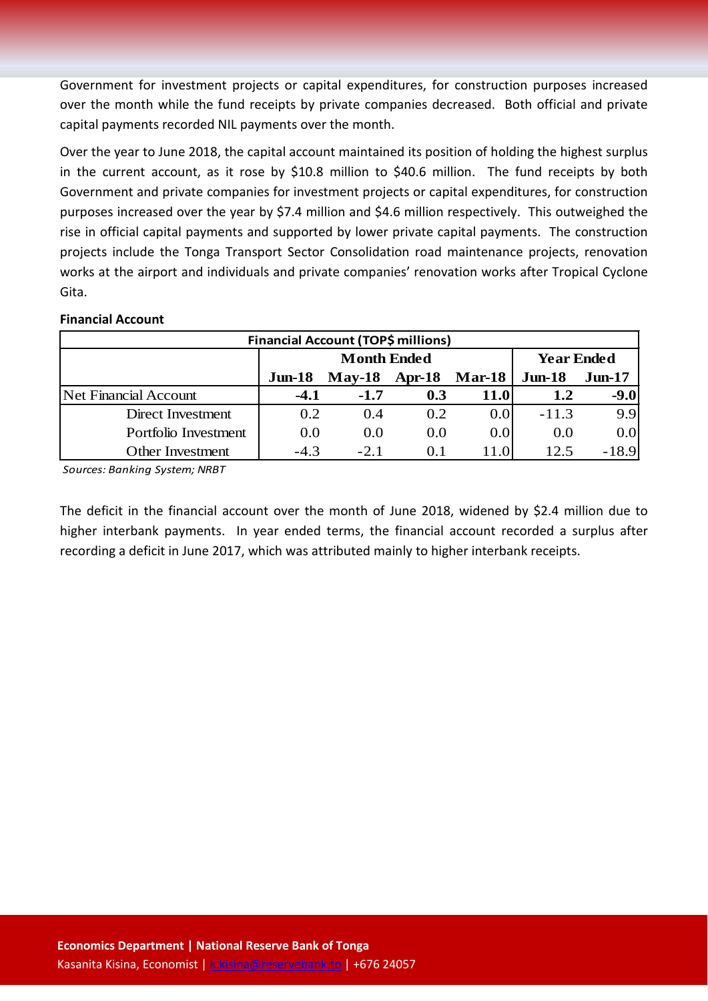Government for investment projects or capital expenditures, for construction purposes increased over the month while the fund receipts by private companies decreased. Both official and private capital payments recorded NIL payments over the month.

Over the year to June 2018, the capital account maintained its position of holding the highest surplus in the current account, as it rose by \$10.8 million to \$40.6 million. The fund receipts by both Government and private companies for investment projects or capital expenditures, for construction purposes increased over the year by \$7.4 million and \$4.6 million respectively. This outweighed the rise in official capital payments and supported by lower private capital payments. The construction projects include the Tonga Transport Sector Consolidation road maintenance projects, renovation works at the airport and individuals and private companies' renovation works after Tropical Cyclone Gita.

#### **Financial Account**

| <b>Financial Account (TOP\$ millions)</b> |                    |                 |     |               |                   |           |  |  |
|-------------------------------------------|--------------------|-----------------|-----|---------------|-------------------|-----------|--|--|
|                                           | <b>Month Ended</b> |                 |     |               | <b>Year Ended</b> |           |  |  |
|                                           | $J$ un-18          | $May-18$ Apr-18 |     | <b>Mar-18</b> | $J$ un-18         | $J$ un-17 |  |  |
| Net Financial Account                     | $-4.1$             | $-1.7$          | 0.3 | 11.0          | 1.2               | $-9.0$    |  |  |
| Direct Investment                         | 0.2                | (1.4)           | 0.2 | 0.0           | $-11.3$           | 9.9       |  |  |
| Portfolio Investment                      | 0.0                | (0.0)           | 0.0 | 0.0           | 0.0               | 0.0       |  |  |
| Other Investment                          | $-4.3$             | $-2.1$          | 0.1 | 11.0          | 12.5              | $-18.9$   |  |  |

*Sources: Banking System; NRBT*

The deficit in the financial account over the month of June 2018, widened by \$2.4 million due to higher interbank payments. In year ended terms, the financial account recorded a surplus after recording a deficit in June 2017, which was attributed mainly to higher interbank receipts.